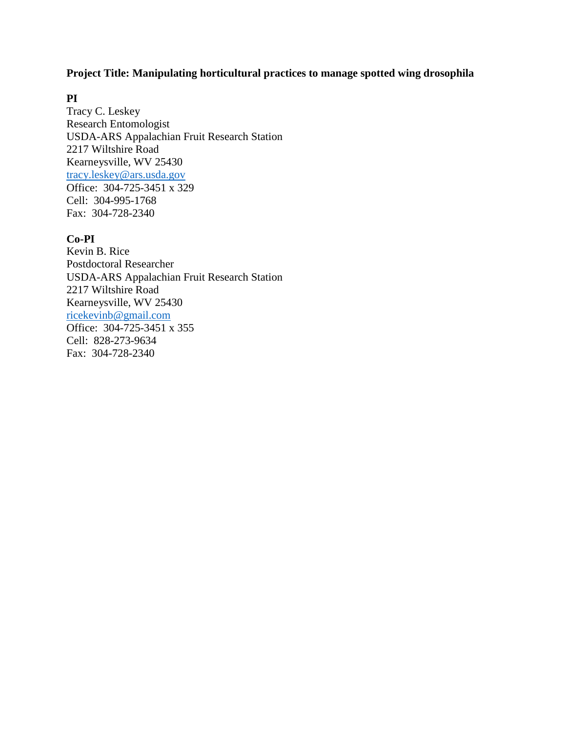# **Project Title: Manipulating horticultural practices to manage spotted wing drosophila**

# **PI**

Tracy C. Leskey Research Entomologist USDA-ARS Appalachian Fruit Research Station 2217 Wiltshire Road Kearneysville, WV 25430 [tracy.leskey@ars.usda.gov](mailto:tracy.leskey@ars.usda.gov) Office: 304-725-3451 x 329 Cell: 304-995-1768 Fax: 304-728-2340

# **Co-PI**

Kevin B. Rice Postdoctoral Researcher USDA-ARS Appalachian Fruit Research Station 2217 Wiltshire Road Kearneysville, WV 25430 [ricekevinb@gmail.com](mailto:ricekevinb@gmail.com) Office: 304-725-3451 x 355 Cell: 828-273-9634 Fax: 304-728-2340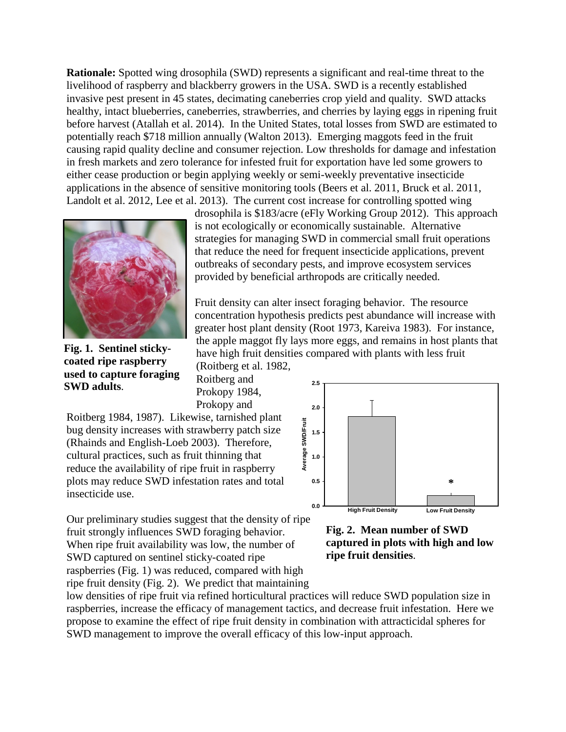**Rationale:** Spotted wing drosophila (SWD) represents a significant and real-time threat to the livelihood of raspberry and blackberry growers in the USA. SWD is a recently established invasive pest present in 45 states, decimating caneberries crop yield and quality. SWD attacks healthy, intact blueberries, caneberries, strawberries, and cherries by laying eggs in ripening fruit before harvest (Atallah et al. 2014). In the United States, total losses from SWD are estimated to potentially reach \$718 million annually (Walton 2013). Emerging maggots feed in the fruit causing rapid quality decline and consumer rejection. Low thresholds for damage and infestation in fresh markets and zero tolerance for infested fruit for exportation have led some growers to either cease production or begin applying weekly or semi-weekly preventative insecticide applications in the absence of sensitive monitoring tools (Beers et al. 2011, Bruck et al. 2011, Landolt et al. 2012, Lee et al. 2013). The current cost increase for controlling spotted wing



**Fig. 1. Sentinel stickycoated ripe raspberry used to capture foraging SWD adults**.

drosophila is \$183/acre (eFly Working Group 2012). This approach is not ecologically or economically sustainable. Alternative strategies for managing SWD in commercial small fruit operations that reduce the need for frequent insecticide applications, prevent outbreaks of secondary pests, and improve ecosystem services provided by beneficial arthropods are critically needed.

Fruit density can alter insect foraging behavior. The resource concentration hypothesis predicts pest abundance will increase with greater host plant density (Root 1973, Kareiva 1983). For instance, the apple maggot fly lays more eggs, and remains in host plants that have high fruit densities compared with plants with less fruit (Roitberg et al. 1982,

Roitberg and Prokopy 1984, Prokopy and

Roitberg 1984, 1987). Likewise, tarnished plant bug density increases with strawberry patch size (Rhainds and English-Loeb 2003). Therefore, cultural practices, such as fruit thinning that reduce the availability of ripe fruit in raspberry plots may reduce SWD infestation rates and total insecticide use.



Our preliminary studies suggest that the density of ripe fruit strongly influences SWD foraging behavior. When ripe fruit availability was low, the number of SWD captured on sentinel sticky-coated ripe raspberries (Fig. 1) was reduced, compared with high ripe fruit density (Fig. 2). We predict that maintaining Noting 1.0st, The The Waster, the instance plane of the overall efficacy of this low-input approach.<br>
Subgrading the availability of ripe fruit in raspberry<br>
plots may reduce SWD infestation rates and total<br>
insecticide us

**Fig. 2. Mean number of SWD captured in plots with high and low ripe fruit densities**.

low densities of ripe fruit via refined horticultural practices will reduce SWD population size in raspberries, increase the efficacy of management tactics, and decrease fruit infestation. Here we propose to examine the effect of ripe fruit density in combination with attracticidal spheres for